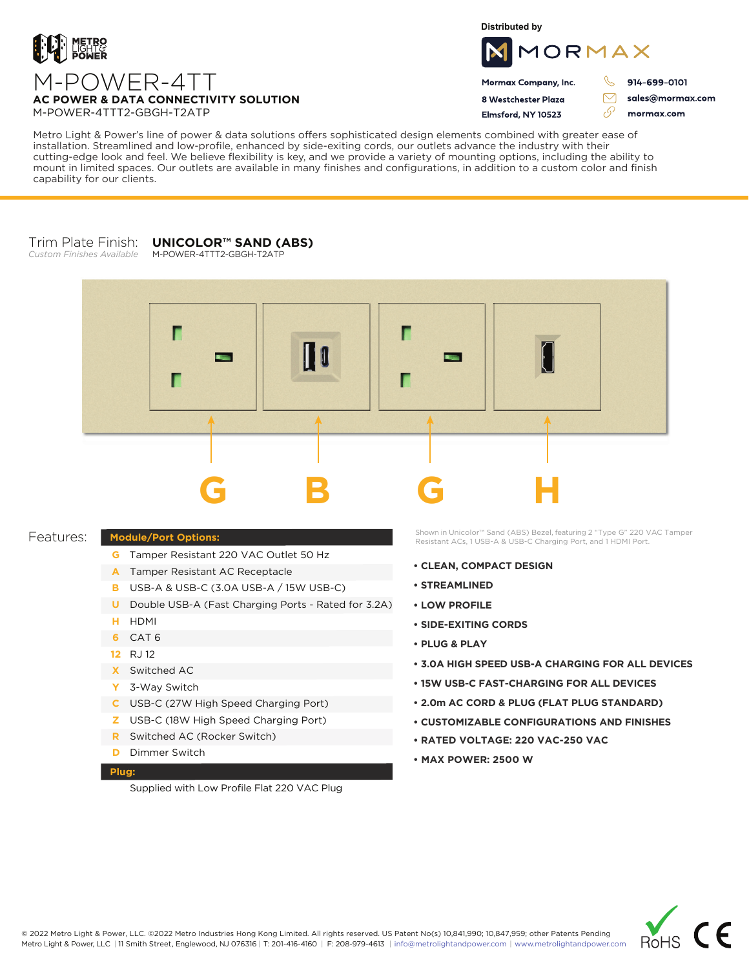

**Distributed by**



Mormax Company, Inc. 8 Westchester Plaza

Flmsford, NY 10523

914-699-0101

sales@mormax.com mormax.com

 $\triangledown$ 

76

**AC POWER & DATA CONNECTIVITY SOLUTION** M-POWER-4TTT2-GBGH-T2ATP

M-POWER-4TT

Metro Light & Power's line of power & data solutions offers sophisticated design elements combined with greater ease of installation. Streamlined and low-profile, enhanced by side-exiting cords, our outlets advance the industry with their cutting-edge look and feel. We believe flexibility is key, and we provide a variety of mounting options, including the ability to mount in limited spaces. Our outlets are available in many finishes and configurations, in addition to a custom color and finish capability for our clients.

## Trim Plate Finish: *Custom Finishes Available* **UNICOLOR™ SAND (ABS)** M-POWER-4TTT2-GBGH-T2ATP



## Features:

- **Module/Port Options:**
	- **G** Tamper Resistant 220 VAC Outlet 50 Hz
	- A Tamper Resistant AC Receptacle
	- USB-A & USB-C (3.0A USB-A / 15W USB-C) **B**
	- U Double USB-A (Fast Charging Ports Rated for 3.2A)
	- HDMI **H**
	- CAT 6 **6**
	- 12 RJ 12
	- Switched AC **X**
	- 3-Way Switch **Y**
	- USB-C (27W High Speed Charging Port) **C**
	- USB-C (18W High Speed Charging Port) **Z**
	- Switched AC (Rocker Switch) **R**
	- **D** Dimmer Switch

## **Plug:**

Supplied with Low Profile Flat 220 VAC Plug

Shown in Unicolor™ Sand (ABS) Bezel, featuring 2 "Type G" 220 VAC Tamper Resistant ACs, 1 USB-A & USB-C Charging Port, and 1 HDMI Port.

- **CLEAN, COMPACT DESIGN**
- **STREAMLINED**
- **LOW PROFILE**
- **SIDE-EXITING CORDS**
- **PLUG & PLAY**
- **3.0A HIGH SPEED USB-A CHARGING FOR ALL DEVICES**
- **15W USB-C FAST-CHARGING FOR ALL DEVICES**
- **2.0m AC CORD & PLUG (FLAT PLUG STANDARD)**
- **CUSTOMIZABLE CONFIGURATIONS AND FINISHES**
- **• RATED VOLTAGE: 220 VAC-250 VAC**
- **MAX POWER: 2500 W**